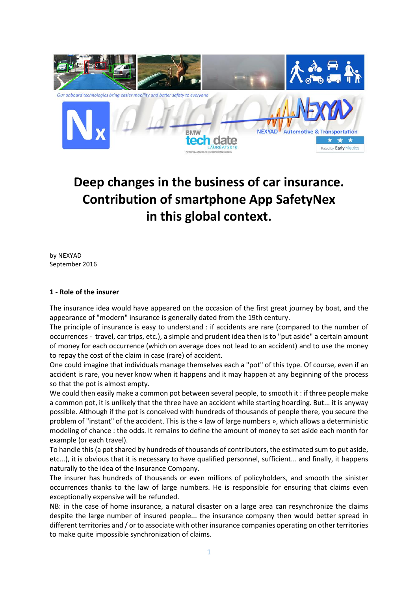

# **Deep changes in the business of car insurance. Contribution of smartphone App SafetyNex in this global context.**

by NEXYAD September 2016

#### **1 - Role of the insurer**

The insurance idea would have appeared on the occasion of the first great journey by boat, and the appearance of "modern" insurance is generally dated from the 19th century.

The principle of insurance is easy to understand : if accidents are rare (compared to the number of occurrences - travel, car trips, etc.), a simple and prudent idea then is to "put aside" a certain amount of money for each occurrence (which on average does not lead to an accident) and to use the money to repay the cost of the claim in case (rare) of accident.

One could imagine that individuals manage themselves each a "pot" of this type. Of course, even if an accident is rare, you never know when it happens and it may happen at any beginning of the process so that the pot is almost empty.

We could then easily make a common pot between several people, to smooth it : if three people make a common pot, it is unlikely that the three have an accident while starting hoarding. But... it is anyway possible. Although if the pot is conceived with hundreds of thousands of people there, you secure the problem of "instant" of the accident. This is the « law of large numbers », which allows a deterministic modeling of chance : the odds. It remains to define the amount of money to set aside each month for example (or each travel).

To handle this (a pot shared by hundreds of thousands of contributors, the estimated sum to put aside, etc...), it is obvious that it is necessary to have qualified personnel, sufficient... and finally, it happens naturally to the idea of the Insurance Company.

The insurer has hundreds of thousands or even millions of policyholders, and smooth the sinister occurrences thanks to the law of large numbers. He is responsible for ensuring that claims even exceptionally expensive will be refunded.

NB: in the case of home insurance, a natural disaster on a large area can resynchronize the claims despite the large number of insured people... the insurance company then would better spread in different territories and / or to associate with other insurance companies operating on other territories to make quite impossible synchronization of claims.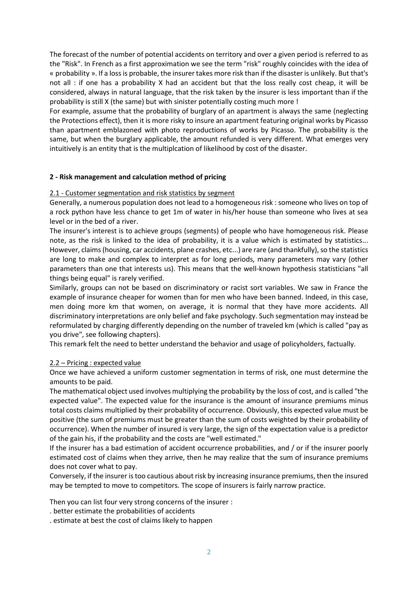The forecast of the number of potential accidents on territory and over a given period is referred to as the "Risk". In French as a first approximation we see the term "risk" roughly coincides with the idea of « probability ». If a loss is probable, the insurer takes more risk than if the disaster is unlikely. But that's not all : if one has a probability X had an accident but that the loss really cost cheap, it will be considered, always in natural language, that the risk taken by the insurer is less important than if the probability is still X (the same) but with sinister potentially costing much more !

For example, assume that the probability of burglary of an apartment is always the same (neglecting the Protections effect), then it is more risky to insure an apartment featuring original works by Picasso than apartment emblazoned with photo reproductions of works by Picasso. The probability is the same, but when the burglary applicable, the amount refunded is very different. What emerges very intuitively is an entity that is the multiplcation of likelihood by cost of the disaster.

## **2 - Risk management and calculation method of pricing**

#### 2.1 - Customer segmentation and risk statistics by segment

Generally, a numerous population does not lead to a homogeneous risk : someone who lives on top of a rock python have less chance to get 1m of water in his/her house than someone who lives at sea level or in the bed of a river.

The insurer's interest is to achieve groups (segments) of people who have homogeneous risk. Please note, as the risk is linked to the idea of probability, it is a value which is estimated by statistics... However, claims(housing, car accidents, plane crashes, etc...) are rare (and thankfully), so the statistics are long to make and complex to interpret as for long periods, many parameters may vary (other parameters than one that interests us). This means that the well-known hypothesis statisticians "all things being equal" is rarely verified.

Similarly, groups can not be based on discriminatory or racist sort variables. We saw in France the example of insurance cheaper for women than for men who have been banned. Indeed, in this case, men doing more km that women, on average, it is normal that they have more accidents. All discriminatory interpretations are only belief and fake psychology. Such segmentation may instead be reformulated by charging differently depending on the number of traveled km (which is called "pay as you drive", see following chapters).

This remark felt the need to better understand the behavior and usage of policyholders, factually.

#### 2.2 – Pricing : expected value

Once we have achieved a uniform customer segmentation in terms of risk, one must determine the amounts to be paid.

The mathematical object used involves multiplying the probability by the loss of cost, and is called "the expected value". The expected value for the insurance is the amount of insurance premiums minus total costs claims multiplied by their probability of occurrence. Obviously, this expected value must be positive (the sum of premiums must be greater than the sum of costs weighted by their probability of occurrence). When the number of insured is very large, the sign of the expectation value is a predictor of the gain his, if the probability and the costs are "well estimated."

If the insurer has a bad estimation of accident occurrence probabilities, and / or if the insurer poorly estimated cost of claims when they arrive, then he may realize that the sum of insurance premiums does not cover what to pay.

Conversely, if the insurer is too cautious about risk by increasing insurance premiums, then the insured may be tempted to move to competitors. The scope of insurers is fairly narrow practice.

Then you can list four very strong concerns of the insurer :

. better estimate the probabilities of accidents

. estimate at best the cost of claims likely to happen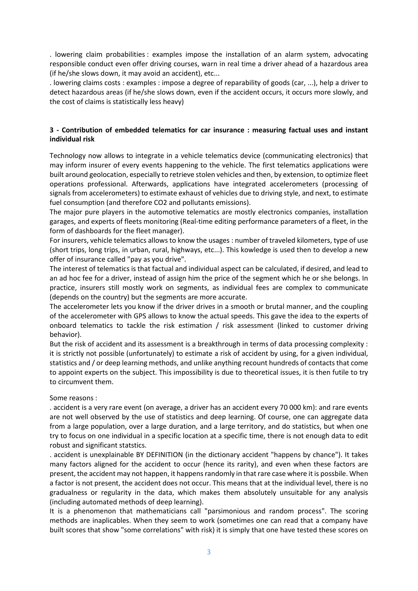. lowering claim probabilities : examples impose the installation of an alarm system, advocating responsible conduct even offer driving courses, warn in real time a driver ahead of a hazardous area (if he/she slows down, it may avoid an accident), etc...

. lowering claims costs : examples : impose a degree of reparability of goods (car, ...), help a driver to detect hazardous areas (if he/she slows down, even if the accident occurs, it occurs more slowly, and the cost of claims is statistically less heavy)

## **3 - Contribution of embedded telematics for car insurance : measuring factual uses and instant individual risk**

Technology now allows to integrate in a vehicle telematics device (communicating electronics) that may inform insurer of every events happening to the vehicle. The first telematics applications were built around geolocation, especially to retrieve stolen vehicles and then, by extension, to optimize fleet operations professional. Afterwards, applications have integrated accelerometers (processing of signals from accelerometers) to estimate exhaust of vehicles due to driving style, and next, to estimate fuel consumption (and therefore CO2 and pollutants emissions).

The major pure players in the automotive telematics are mostly electronics companies, installation garages, and experts of fleets monitoring (Real-time editing performance parameters of a fleet, in the form of dashboards for the fleet manager).

For insurers, vehicle telematics allows to know the usages : number of traveled kilometers, type of use (short trips, long trips, in urban, rural, highways, etc...). This kowledge is used then to develop a new offer of insurance called "pay as you drive".

The interest of telematics is that factual and individual aspect can be calculated, if desired, and lead to an ad hoc fee for a driver, instead of assign him the price of the segment which he or she belongs. In practice, insurers still mostly work on segments, as individual fees are complex to communicate (depends on the country) but the segments are more accurate.

The accelerometer lets you know if the driver drives in a smooth or brutal manner, and the coupling of the accelerometer with GPS allows to know the actual speeds. This gave the idea to the experts of onboard telematics to tackle the risk estimation / risk assessment (linked to customer driving behavior).

But the risk of accident and its assessment is a breakthrough in terms of data processing complexity : it is strictly not possible (unfortunately) to estimate a risk of accident by using, for a given individual, statistics and / or deep learning methods, and unlike anything recount hundreds of contacts that come to appoint experts on the subject. This impossibility is due to theoretical issues, it is then futile to try to circumvent them.

#### Some reasons :

. accident is a very rare event (on average, a driver has an accident every 70 000 km): and rare events are not well observed by the use of statistics and deep learning. Of course, one can aggregate data from a large population, over a large duration, and a large territory, and do statistics, but when one try to focus on one individual in a specific location at a specific time, there is not enough data to edit robust and significant statstics.

. accident is unexplainable BY DEFINITION (in the dictionary accident "happens by chance"). It takes many factors aligned for the accident to occur (hence its rarity), and even when these factors are present, the accident may not happen, it happens randomly in that rare case where it is possbile. When a factor is not present, the accident does not occur. This means that at the individual level, there is no gradualness or regularity in the data, which makes them absolutely unsuitable for any analysis (including automated methods of deep learning).

It is a phenomenon that mathematicians call "parsimonious and random process". The scoring methods are inaplicables. When they seem to work (sometimes one can read that a company have built scores that show "some correlations" with risk) it is simply that one have tested these scores on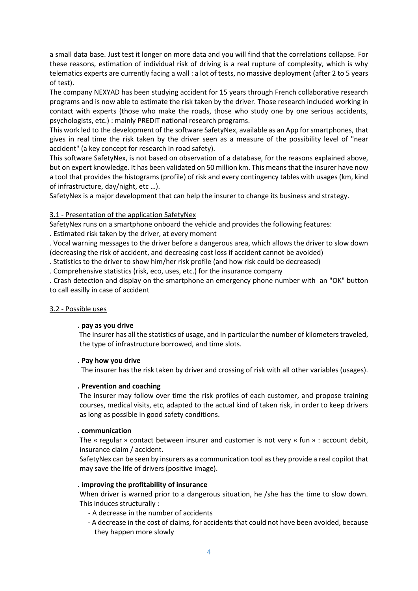a small data base. Just test it longer on more data and you will find that the correlations collapse. For these reasons, estimation of individual risk of driving is a real rupture of complexity, which is why telematics experts are currently facing a wall : a lot of tests, no massive deployment (after 2 to 5 years of test).

The company NEXYAD has been studying accident for 15 years through French collaborative research programs and is now able to estimate the risk taken by the driver. Those research included working in contact with experts (those who make the roads, those who study one by one serious accidents, psychologists, etc.) : mainly PREDIT national research programs.

This work led to the development of the software SafetyNex, available as an App for smartphones, that gives in real time the risk taken by the driver seen as a measure of the possibility level of "near accident" (a key concept for research in road safety).

This software SafetyNex, is not based on observation of a database, for the reasons explained above, but on expert knowledge. It has been validated on 50 million km. This means that the insurer have now a tool that provides the histograms (profile) of risk and every contingency tables with usages (km, kind of infrastructure, day/night, etc …).

SafetyNex is a major development that can help the insurer to change its business and strategy.

## 3.1 - Presentation of the application SafetyNex

SafetyNex runs on a smartphone onboard the vehicle and provides the following features:

. Estimated risk taken by the driver, at every moment

. Vocal warning messages to the driver before a dangerous area, which allows the driver to slow down (decreasing the risk of accident, and decreasing cost loss if accident cannot be avoided)

. Statistics to the driver to show him/her risk profile (and how risk could be decreased)

. Comprehensive statistics (risk, eco, uses, etc.) for the insurance company

. Crash detection and display on the smartphone an emergency phone number with an "OK" button to call easilly in case of accident

## 3.2 - Possible uses

## **. pay as you drive**

 The insurer has all the statistics of usage, and in particular the number of kilometers traveled, the type of infrastructure borrowed, and time slots.

## **. Pay how you drive**

The insurer has the risk taken by driver and crossing of risk with all other variables (usages).

## **. Prevention and coaching**

The insurer may follow over time the risk profiles of each customer, and propose training courses, medical visits, etc, adapted to the actual kind of taken risk, in order to keep drivers as long as possible in good safety conditions.

## **. communication**

The « regular » contact between insurer and customer is not very « fun » : account debit, insurance claim / accident.

SafetyNex can be seen by insurers as a communication tool as they provide a real copilot that may save the life of drivers (positive image).

## **. improving the profitability of insurance**

When driver is warned prior to a dangerous situation, he /she has the time to slow down. This induces structurally :

- A decrease in the number of accidents
- A decrease in the cost of claims, for accidents that could not have been avoided, because they happen more slowly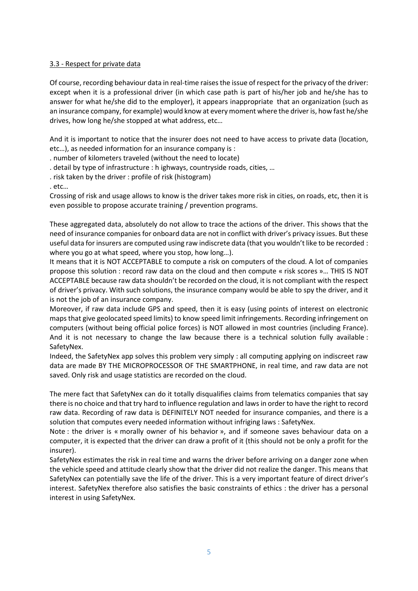#### 3.3 - Respect for private data

Of course, recording behaviour data in real-time raises the issue of respect for the privacy of the driver: except when it is a professional driver (in which case path is part of his/her job and he/she has to answer for what he/she did to the employer), it appears inappropriate that an organization (such as an insurance company, for example) would know at every moment where the driver is, how fast he/she drives, how long he/she stopped at what address, etc…

And it is important to notice that the insurer does not need to have access to private data (location, etc…), as needed information for an insurance company is :

. number of kilometers traveled (without the need to locate)

- . detail by type of infrastructure : h ighways, countryside roads, cities, …
- . risk taken by the driver : profile of risk (histogram)

. etc…

Crossing of risk and usage allows to know is the driver takes more risk in cities, on roads, etc, then it is even possible to propose accurate training / prevention programs.

These aggregated data, absolutely do not allow to trace the actions of the driver. This shows that the need of insurance companies for onboard data are not in conflict with driver's privacy issues. But these useful data for insurers are computed using raw indiscrete data (that you wouldn't like to be recorded : where you go at what speed, where you stop, how long…).

It means that it is NOT ACCEPTABLE to compute a risk on computers of the cloud. A lot of companies propose this solution : record raw data on the cloud and then compute « risk scores »… THIS IS NOT ACCEPTABLE because raw data shouldn't be recorded on the cloud, it is not compliant with the respect of driver's privacy. With such solutions, the insurance company would be able to spy the driver, and it is not the job of an insurance company.

Moreover, if raw data include GPS and speed, then it is easy (using points of interest on electronic maps that give geolocated speed limits) to know speed limit infringements. Recording infringement on computers (without being official police forces) is NOT allowed in most countries (including France). And it is not necessary to change the law because there is a technical solution fully available : SafetyNex.

Indeed, the SafetyNex app solves this problem very simply : all computing applying on indiscreet raw data are made BY THE MICROPROCESSOR OF THE SMARTPHONE, in real time, and raw data are not saved. Only risk and usage statistics are recorded on the cloud.

The mere fact that SafetyNex can do it totally disqualifies claims from telematics companies that say there is no choice and that try hard to influence regulation and laws in order to have the right to record raw data. Recording of raw data is DEFINITELY NOT needed for insurance companies, and there is a solution that computes every needed information without infriging laws : SafetyNex.

Note : the driver is « morally owner of his behavior », and if someone saves behaviour data on a computer, it is expected that the driver can draw a profit of it (this should not be only a profit for the insurer).

SafetyNex estimates the risk in real time and warns the driver before arriving on a danger zone when the vehicle speed and attitude clearly show that the driver did not realize the danger. This means that SafetyNex can potentially save the life of the driver. This is a very important feature of direct driver's interest. SafetyNex therefore also satisfies the basic constraints of ethics : the driver has a personal interest in using SafetyNex.